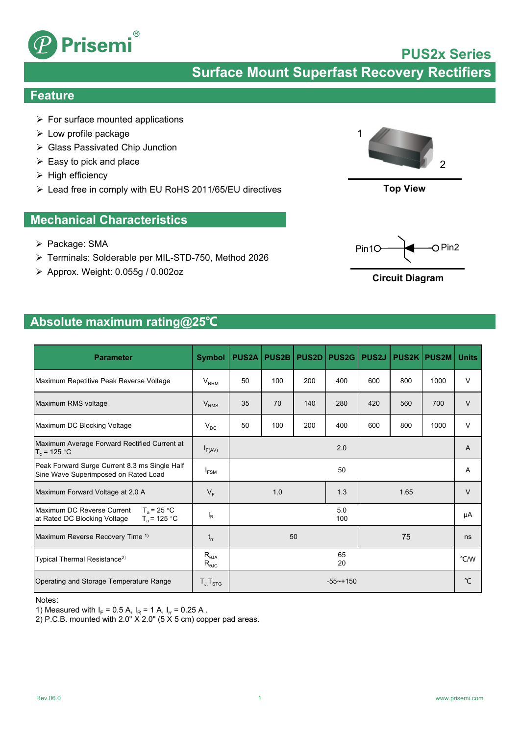

## **PUS2x Series**

2

**Surface Mount Superfast Recovery Rectifiers**

### **Feature**

- $\triangleright$  For surface mounted applications
- $\triangleright$  Low profile package
- Glass Passivated Chip Junction
- $\triangleright$  Easy to pick and place
- $\triangleright$  High efficiency
- Lead free in comply with EU RoHS 2011/65/EU directives

### **Mechanical Characteristics**

- $\triangleright$  Package: SMA
- Terminals: Solderable per MIL-STD-750, Method 2026
- $\triangleright$  Approx. Weight: 0.055g / 0.002oz

## **Absolute maximum rating@25℃**

| <b>Parameter</b>                                                                              | <b>Symbol</b>                      | <b>PUS2A</b>  | <b>PUS2B</b> | <b>PUS2D</b> | <b>PUS2G</b> | <b>PUS2J</b> | <b>PUS2K</b> | PUS2M | <b>Units</b> |
|-----------------------------------------------------------------------------------------------|------------------------------------|---------------|--------------|--------------|--------------|--------------|--------------|-------|--------------|
| Maximum Repetitive Peak Reverse Voltage                                                       | $V_{RRM}$                          | 50            | 100          | 200          | 400          | 600          | 800          | 1000  | V            |
| Maximum RMS voltage                                                                           | $V_{RMS}$                          | 35            | 70           | 140          | 280          | 420          | 560          | 700   | $\vee$       |
| Maximum DC Blocking Voltage                                                                   | $V_{DC}$                           | 50            | 100          | 200          | 400          | 600          | 800          | 1000  | $\vee$       |
| Maximum Average Forward Rectified Current at<br>$T_c$ = 125 °C                                | $I_{F(AV)}$                        | 2.0           |              |              |              | A            |              |       |              |
| Peak Forward Surge Current 8.3 ms Single Half<br>Sine Wave Superimposed on Rated Load         | $I_{FSM}$                          |               |              |              | 50           |              |              |       | A            |
| Maximum Forward Voltage at 2.0 A                                                              | $V_F$                              |               | 1.0          | 1.3<br>1.65  |              |              | $\vee$       |       |              |
| Maximum DC Reverse Current<br>$T_a = 25 °C$<br>$T_a = 125 °C$<br>at Rated DC Blocking Voltage | $I_R$                              |               |              |              | 5.0<br>100   |              |              | μA    |              |
| Maximum Reverse Recovery Time 1)                                                              | $\mathsf{t}_{\mathsf{rr}}$         | 50<br>75      |              |              |              | ns           |              |       |              |
| Typical Thermal Resistance <sup>2)</sup>                                                      | $R_{\theta JA}$<br>$R_{\theta JC}$ | 65<br>20      |              |              |              | °C/W         |              |       |              |
| Operating and Storage Temperature Range                                                       | $T_{J}$ , $T_{STG}$                | $-55 - + 150$ |              |              |              | °C           |              |       |              |

Notes:

1) Measured with  $I_F = 0.5 A$ ,  $I_R = 1 A$ ,  $I_{rr} = 0.25 A$ .

2) P.C.B. mounted with 2.0"  $X$  2.0" (5  $X$  5 cm) copper pad areas.



1



 $Pin10 \longrightarrow$   $OPin2$ 

**Circuit Diagram**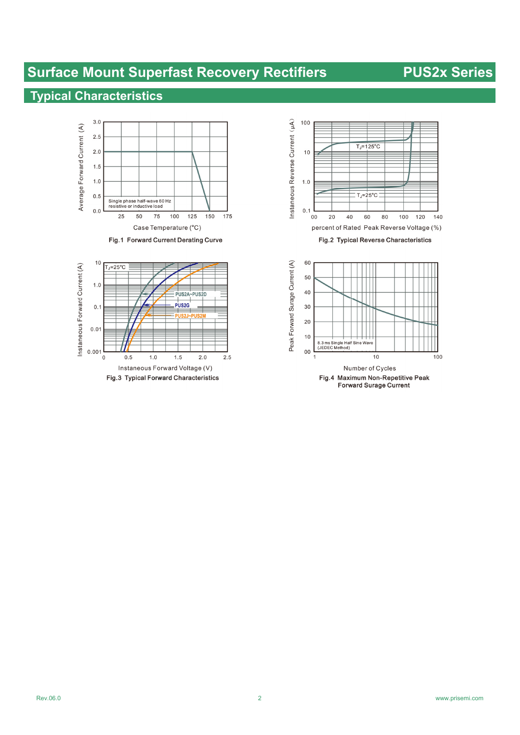# **Surface Mount Superfast Recovery Rectifiers PUS2x Series**

## **Typical Characteristics**







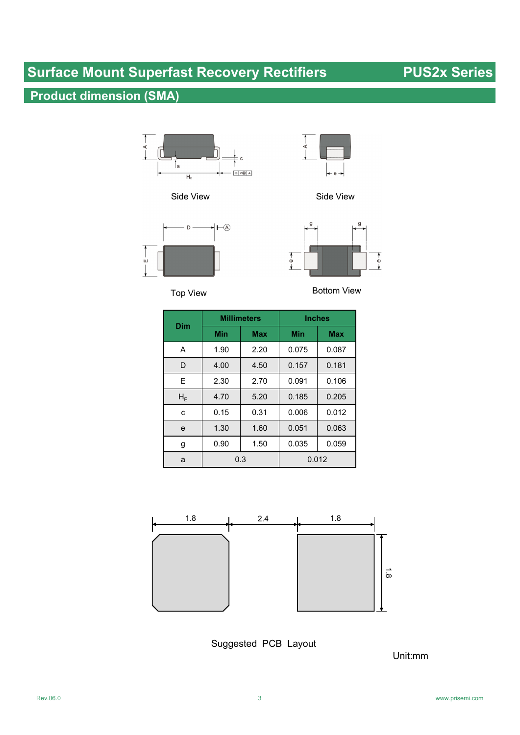# **Surface Mount Superfast Recovery Rectifiers PUS2x Series**

# **Product dimension (SMA)**



Side View Side View





 $\leftarrow$  e

Top View **Bottom View** 

| Dim   |            | <b>Millimeters</b> | <b>Inches</b> |            |  |  |
|-------|------------|--------------------|---------------|------------|--|--|
|       | <b>Min</b> | <b>Max</b>         | Min           | <b>Max</b> |  |  |
| A     | 1.90       | 2.20               | 0.075         | 0.087      |  |  |
| D     | 4.00       | 4.50               | 0.157         | 0.181      |  |  |
| E     | 2.30       | 2.70               | 0.091         | 0.106      |  |  |
| $H_E$ | 4.70       | 5.20               | 0.185         | 0.205      |  |  |
| C     | 0.15       | 0.31               | 0.006         | 0.012      |  |  |
| e     | 1.30       | 1.60               | 0.051         | 0.063      |  |  |
| g     | 0.90       | 1.50               | 0.035         | 0.059      |  |  |
| a     |            | 0.3                | 0.012         |            |  |  |



Suggested PCB Layout

Unit:mm